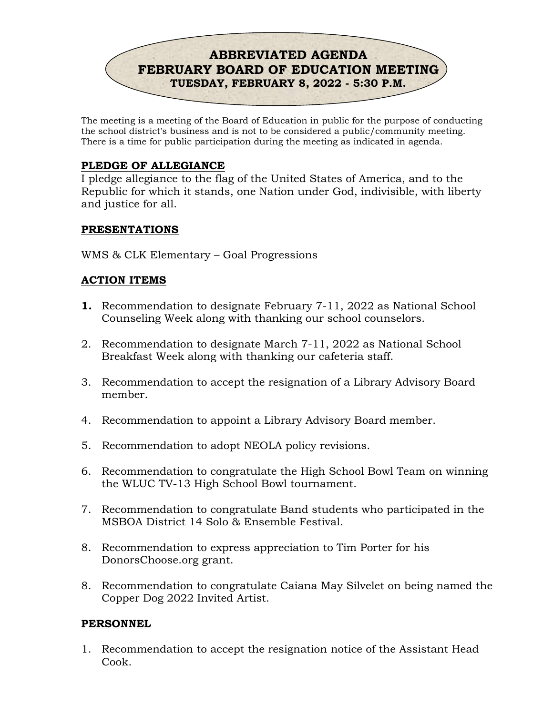

The meeting is a meeting of the Board of Education in public for the purpose of conducting the school district's business and is not to be considered a public/community meeting. There is a time for public participation during the meeting as indicated in agenda.

# PLEDGE OF ALLEGIANCE

I pledge allegiance to the flag of the United States of America, and to the Republic for which it stands, one Nation under God, indivisible, with liberty and justice for all.

#### PRESENTATIONS

WMS & CLK Elementary – Goal Progressions

# ACTION ITEMS

- 1. Recommendation to designate February 7-11, 2022 as National School Counseling Week along with thanking our school counselors.
- 2. Recommendation to designate March 7-11, 2022 as National School Breakfast Week along with thanking our cafeteria staff.
- 3. Recommendation to accept the resignation of a Library Advisory Board member.
- 4. Recommendation to appoint a Library Advisory Board member.
- 5. Recommendation to adopt NEOLA policy revisions.
- 6. Recommendation to congratulate the High School Bowl Team on winning the WLUC TV-13 High School Bowl tournament.
- 7. Recommendation to congratulate Band students who participated in the MSBOA District 14 Solo & Ensemble Festival.
- 8. Recommendation to express appreciation to Tim Porter for his DonorsChoose.org grant.
- 8. Recommendation to congratulate Caiana May Silvelet on being named the Copper Dog 2022 Invited Artist.

# PERSONNEL

1. Recommendation to accept the resignation notice of the Assistant Head Cook.